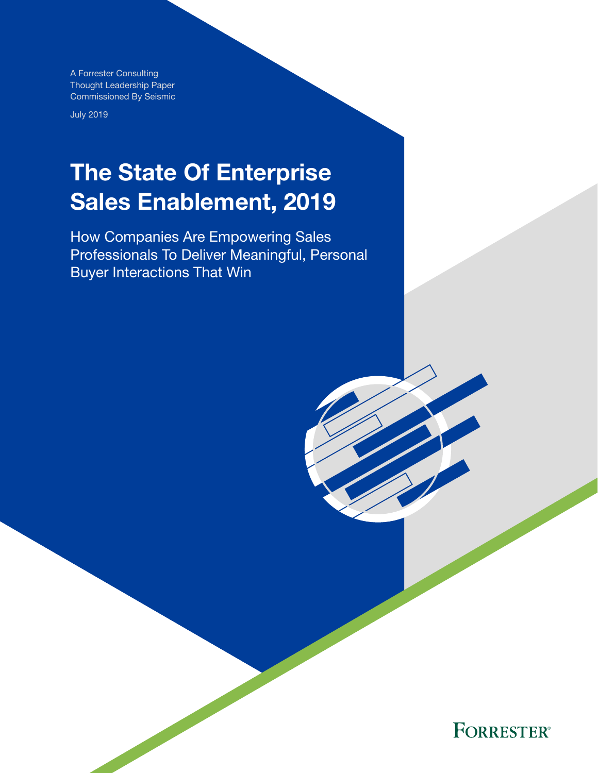A Forrester Consulting Thought Leadership Paper Commissioned By Seismic

July 2019

## The State Of Enterprise Sales Enablement, 2019

How Companies Are Empowering Sales Professionals To Deliver Meaningful, Personal Buyer Interactions That Win

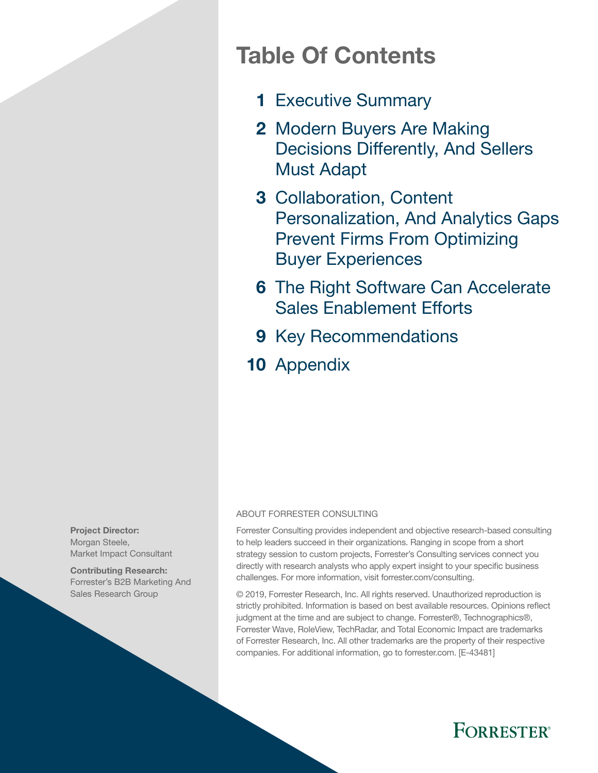### Table Of Contents

- 1 [Executive Summary](#page-2-0)
- 2 Modern Buyers Are Making [Decisions Differently, And Sellers](#page-3-0)  [Must Adapt](#page-3-0)
- 3 Collaboration, Content [Personalization, And Analytics Gaps](#page-4-0)  [Prevent Firms From Optimizing](#page-4-0)  [Buyer Experiences](#page-4-0)
- **6** The Right Software Can Accelerate [Sales Enablement Efforts](#page-7-0)
- 9 [Key Recommendations](#page-10-0)
- 10 [Appendix](#page-11-0)

#### ABOUT FORRESTER CONSULTING

Forrester Consulting provides independent and objective research-based consulting to help leaders succeed in their organizations. Ranging in scope from a short strategy session to custom projects, Forrester's Consulting services connect you directly with research analysts who apply expert insight to your specific business challenges. For more information, visit forrester.com/consulting.

© 2019, Forrester Research, Inc. All rights reserved. Unauthorized reproduction is strictly prohibited. Information is based on best available resources. Opinions reflect judgment at the time and are subject to change. Forrester®, Technographics®, Forrester Wave, RoleView, TechRadar, and Total Economic Impact are trademarks of Forrester Research, Inc. All other trademarks are the property of their respective companies. For additional information, go to forrester.com. [E-43481]



Contributing Research: Forrester's B2B Marketing And Sales Research Group

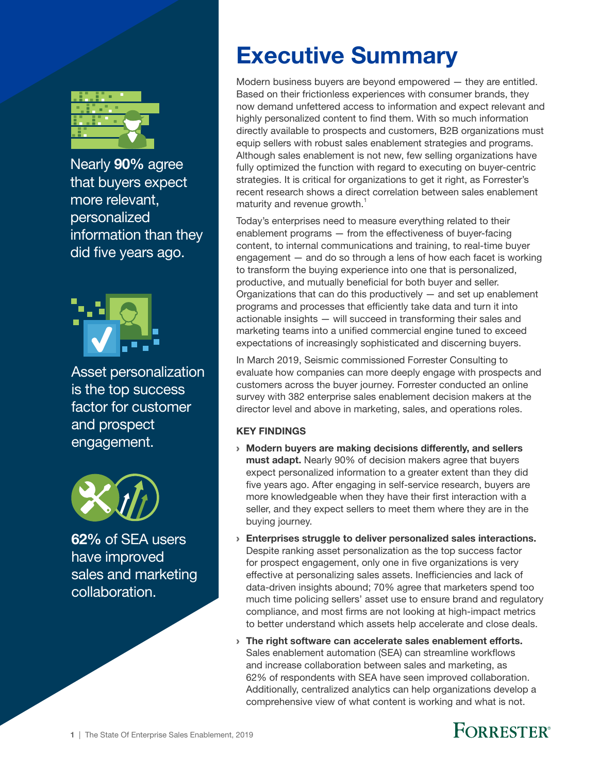<span id="page-2-0"></span>

Nearly 90% agree that buyers expect more relevant, personalized information than they did five years ago.



Asset personalization is the top success factor for customer and prospect engagement.



62% of SEA users have improved sales and marketing collaboration.

### Executive Summary

Modern business buyers are beyond empowered — they are entitled. Based on their frictionless experiences with consumer brands, they now demand unfettered access to information and expect relevant and highly personalized content to find them. With so much information directly available to prospects and customers, B2B organizations must equip sellers with robust sales enablement strategies and programs. Although sales enablement is not new, few selling organizations have fully optimized the function with regard to executing on buyer-centric strategies. It is critical for organizations to get it right, as Forrester's recent research shows a direct correlation between sales enablement maturity and revenue growth.<sup>1</sup>

Today's enterprises need to measure everything related to their enablement programs — from the effectiveness of buyer-facing content, to internal communications and training, to real-time buyer engagement — and do so through a lens of how each facet is working to transform the buying experience into one that is personalized, productive, and mutually beneficial for both buyer and seller. Organizations that can do this productively  $-$  and set up enablement programs and processes that efficiently take data and turn it into actionable insights — will succeed in transforming their sales and marketing teams into a unified commercial engine tuned to exceed expectations of increasingly sophisticated and discerning buyers.

In March 2019, Seismic commissioned Forrester Consulting to evaluate how companies can more deeply engage with prospects and customers across the buyer journey. Forrester conducted an online survey with 382 enterprise sales enablement decision makers at the director level and above in marketing, sales, and operations roles.

### KEY FINDINGS

- › Modern buyers are making decisions differently, and sellers must adapt. Nearly 90% of decision makers agree that buyers expect personalized information to a greater extent than they did five years ago. After engaging in self-service research, buyers are more knowledgeable when they have their first interaction with a seller, and they expect sellers to meet them where they are in the buying journey.
- › Enterprises struggle to deliver personalized sales interactions. Despite ranking asset personalization as the top success factor for prospect engagement, only one in five organizations is very effective at personalizing sales assets. Inefficiencies and lack of data-driven insights abound; 70% agree that marketers spend too much time policing sellers' asset use to ensure brand and regulatory compliance, and most firms are not looking at high-impact metrics to better understand which assets help accelerate and close deals.
- › The right software can accelerate sales enablement efforts. Sales enablement automation (SEA) can streamline workflows and increase collaboration between sales and marketing, as 62% of respondents with SEA have seen improved collaboration. Additionally, centralized analytics can help organizations develop a comprehensive view of what content is working and what is not.

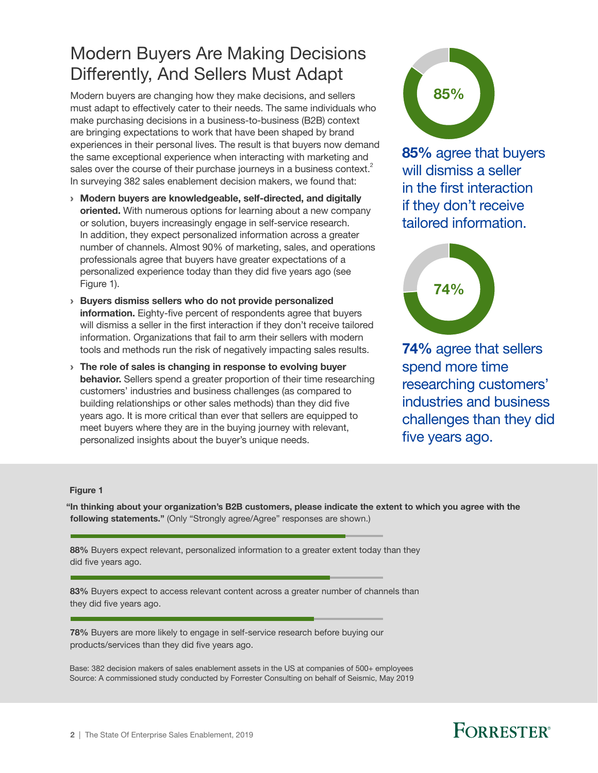### <span id="page-3-0"></span>Modern Buyers Are Making Decisions Differently, And Sellers Must Adapt

Modern buyers are changing how they make decisions, and sellers must adapt to effectively cater to their needs. The same individuals who make purchasing decisions in a business-to-business (B2B) context are bringing expectations to work that have been shaped by brand experiences in their personal lives. The result is that buyers now demand the same exceptional experience when interacting with marketing and sales over the course of their purchase journeys in a business context. $^2$ In surveying 382 sales enablement decision makers, we found that:

- › Modern buyers are knowledgeable, self-directed, and digitally oriented. With numerous options for learning about a new company or solution, buyers increasingly engage in self-service research. In addition, they expect personalized information across a greater number of channels. Almost 90% of marketing, sales, and operations professionals agree that buyers have greater expectations of a personalized experience today than they did five years ago (see Figure 1).
- › Buyers dismiss sellers who do not provide personalized information. Eighty-five percent of respondents agree that buyers will dismiss a seller in the first interaction if they don't receive tailored information. Organizations that fail to arm their sellers with modern tools and methods run the risk of negatively impacting sales results.
- $\rightarrow$  The role of sales is changing in response to evolving buyer behavior. Sellers spend a greater proportion of their time researching customers' industries and business challenges (as compared to building relationships or other sales methods) than they did five years ago. It is more critical than ever that sellers are equipped to meet buyers where they are in the buying journey with relevant, personalized insights about the buyer's unique needs.



85% agree that buyers will dismiss a seller in the first interaction if they don't receive tailored information.



74% agree that sellers spend more time researching customers' industries and business challenges than they did five years ago.

#### Figure 1

"In thinking about your organization's B2B customers, please indicate the extent to which you agree with the following statements." (Only "Strongly agree/Agree" responses are shown.)

88% Buyers expect relevant, personalized information to a greater extent today than they did five years ago.

83% Buyers expect to access relevant content across a greater number of channels than they did five years ago.

78% Buyers are more likely to engage in self-service research before buying our products/services than they did five years ago.

Base: 382 decision makers of sales enablement assets in the US at companies of 500+ employees Source: A commissioned study conducted by Forrester Consulting on behalf of Seismic, May 2019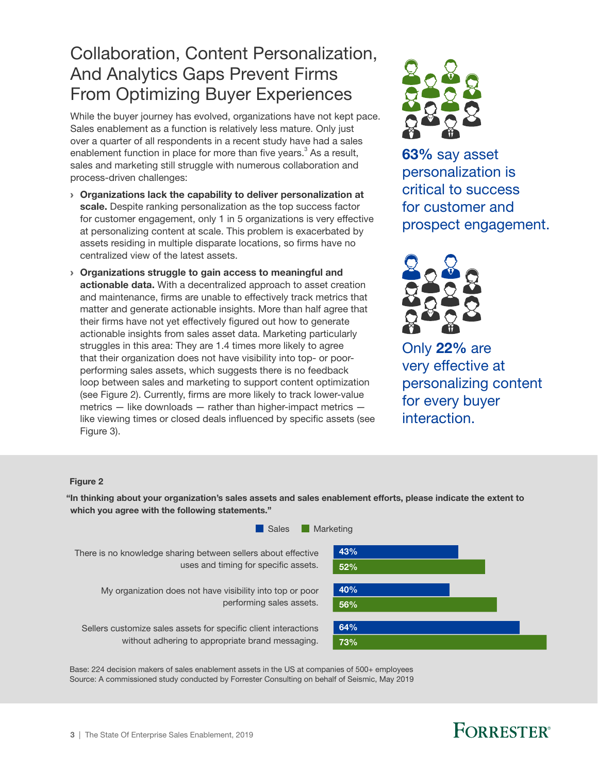### <span id="page-4-0"></span>Collaboration, Content Personalization, And Analytics Gaps Prevent Firms From Optimizing Buyer Experiences

While the buyer journey has evolved, organizations have not kept pace. Sales enablement as a function is relatively less mature. Only just over a quarter of all respondents in a recent study have had a sales enablement function in place for more than five years. $3$  As a result, sales and marketing still struggle with numerous collaboration and process-driven challenges:

- › Organizations lack the capability to deliver personalization at scale. Despite ranking personalization as the top success factor for customer engagement, only 1 in 5 organizations is very effective at personalizing content at scale. This problem is exacerbated by assets residing in multiple disparate locations, so firms have no centralized view of the latest assets.
- › Organizations struggle to gain access to meaningful and actionable data. With a decentralized approach to asset creation and maintenance, firms are unable to effectively track metrics that matter and generate actionable insights. More than half agree that their firms have not yet effectively figured out how to generate actionable insights from sales asset data. Marketing particularly struggles in this area: They are 1.4 times more likely to agree that their organization does not have visibility into top- or poorperforming sales assets, which suggests there is no feedback loop between sales and marketing to support content optimization (see Figure 2). Currently, firms are more likely to track lower-value metrics — like downloads — rather than higher-impact metrics like viewing times or closed deals influenced by specific assets (see Figure 3).



63% say asset personalization is critical to success for customer and prospect engagement.



Only 22% are very effective at personalizing content for every buyer interaction.

#### Figure 2

"In thinking about your organization's sales assets and sales enablement efforts, please indicate the extent to which you agree with the following statements."



Base: 224 decision makers of sales enablement assets in the US at companies of 500+ employees Source: A commissioned study conducted by Forrester Consulting on behalf of Seismic, May 2019

### **FORRESTER**®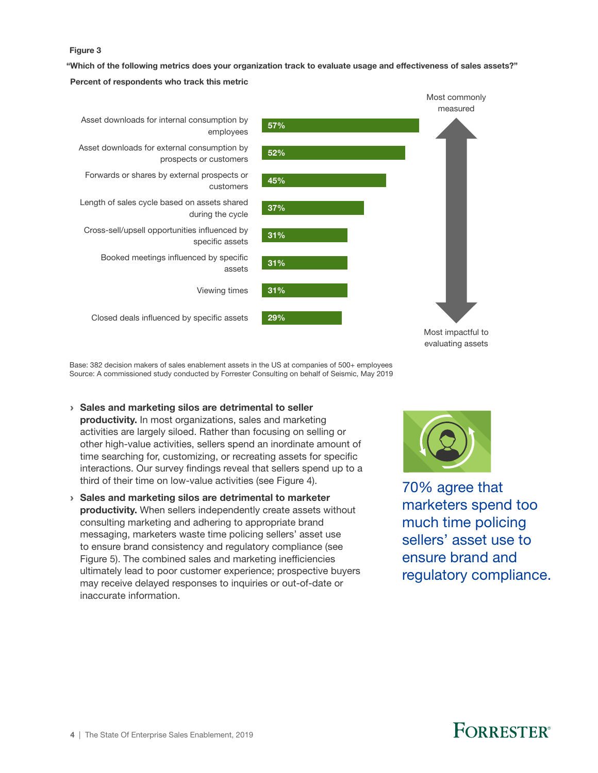#### Figure 3

"Which of the following metrics does your organization track to evaluate usage and effectiveness of sales assets?"

Percent of respondents who track this metric



Base: 382 decision makers of sales enablement assets in the US at companies of 500+ employees Source: A commissioned study conducted by Forrester Consulting on behalf of Seismic, May 2019

- › Sales and marketing silos are detrimental to seller productivity. In most organizations, sales and marketing activities are largely siloed. Rather than focusing on selling or other high-value activities, sellers spend an inordinate amount of time searching for, customizing, or recreating assets for specific interactions. Our survey findings reveal that sellers spend up to a third of their time on low-value activities (see Figure 4).
- › Sales and marketing silos are detrimental to marketer productivity. When sellers independently create assets without consulting marketing and adhering to appropriate brand messaging, marketers waste time policing sellers' asset use to ensure brand consistency and regulatory compliance (see Figure 5). The combined sales and marketing inefficiencies ultimately lead to poor customer experience; prospective buyers may receive delayed responses to inquiries or out-of-date or inaccurate information.



evaluating assets

70% agree that marketers spend too much time policing sellers' asset use to ensure brand and regulatory compliance.

### **FORRESTER**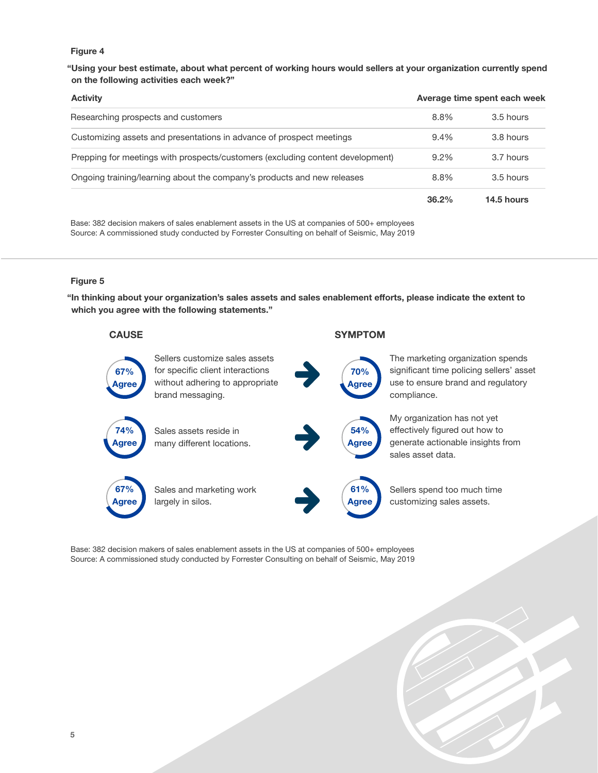#### Figure 4

"Using your best estimate, about what percent of working hours would sellers at your organization currently spend on the following activities each week?"

| <b>Activity</b>                                                                | Average time spent each week |             |
|--------------------------------------------------------------------------------|------------------------------|-------------|
| Researching prospects and customers                                            | 8.8%                         | $3.5$ hours |
| Customizing assets and presentations in advance of prospect meetings           | $9.4\%$                      | 3.8 hours   |
| Prepping for meetings with prospects/customers (excluding content development) | $9.2\%$                      | 3.7 hours   |
| Ongoing training/learning about the company's products and new releases        | 8.8%                         | $3.5$ hours |
|                                                                                | 36.2%                        | 14.5 hours  |

Base: 382 decision makers of sales enablement assets in the US at companies of 500+ employees Source: A commissioned study conducted by Forrester Consulting on behalf of Seismic, May 2019

#### Figure 5

"In thinking about your organization's sales assets and sales enablement efforts, please indicate the extent to which you agree with the following statements."

#### CAUSE SYMPTOM Sellers customize sales assets for specific client interactions without adhering to appropriate brand messaging. 67% Agree Sales assets reside in many different locations. Sales and marketing work largely in silos. The marketing organization spends significant time policing sellers' asset use to ensure brand and regulatory compliance. My organization has not yet effectively figured out how to generate actionable insights from sales asset data. Sellers spend too much time customizing sales assets. 74% Agree 67% **A**gree 70% Agree 54% Agree 61% Agree

Base: 382 decision makers of sales enablement assets in the US at companies of 500+ employees Source: A commissioned study conducted by Forrester Consulting on behalf of Seismic, May 2019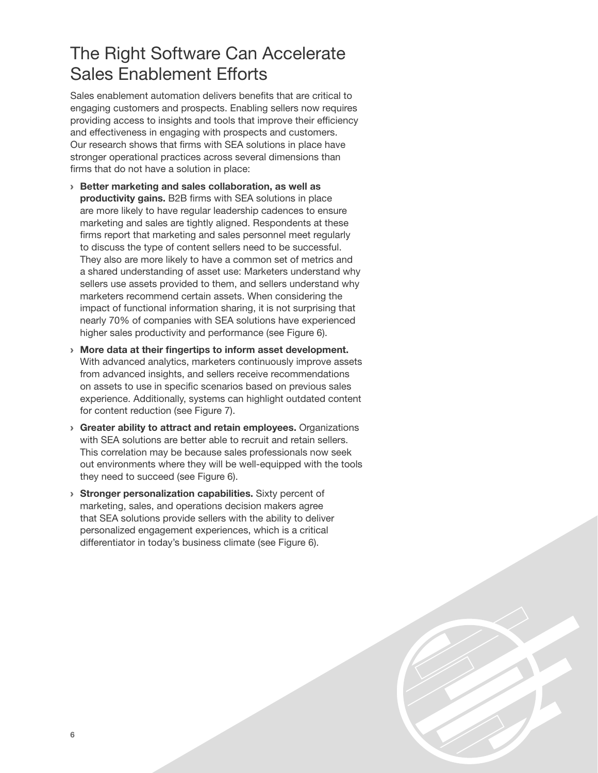### <span id="page-7-0"></span>The Right Software Can Accelerate Sales Enablement Efforts

Sales enablement automation delivers benefits that are critical to engaging customers and prospects. Enabling sellers now requires providing access to insights and tools that improve their efficiency and effectiveness in engaging with prospects and customers. Our research shows that firms with SEA solutions in place have stronger operational practices across several dimensions than firms that do not have a solution in place:

- › Better marketing and sales collaboration, as well as productivity gains. B2B firms with SEA solutions in place are more likely to have regular leadership cadences to ensure marketing and sales are tightly aligned. Respondents at these firms report that marketing and sales personnel meet regularly to discuss the type of content sellers need to be successful. They also are more likely to have a common set of metrics and a shared understanding of asset use: Marketers understand why sellers use assets provided to them, and sellers understand why marketers recommend certain assets. When considering the impact of functional information sharing, it is not surprising that nearly 70% of companies with SEA solutions have experienced higher sales productivity and performance (see Figure 6).
- › More data at their fingertips to inform asset development. With advanced analytics, marketers continuously improve assets from advanced insights, and sellers receive recommendations on assets to use in specific scenarios based on previous sales experience. Additionally, systems can highlight outdated content for content reduction (see Figure 7).
- › Greater ability to attract and retain employees. Organizations with SEA solutions are better able to recruit and retain sellers. This correlation may be because sales professionals now seek out environments where they will be well-equipped with the tools they need to succeed (see Figure 6).
- › Stronger personalization capabilities. Sixty percent of marketing, sales, and operations decision makers agree that SEA solutions provide sellers with the ability to deliver personalized engagement experiences, which is a critical differentiator in today's business climate (see Figure 6).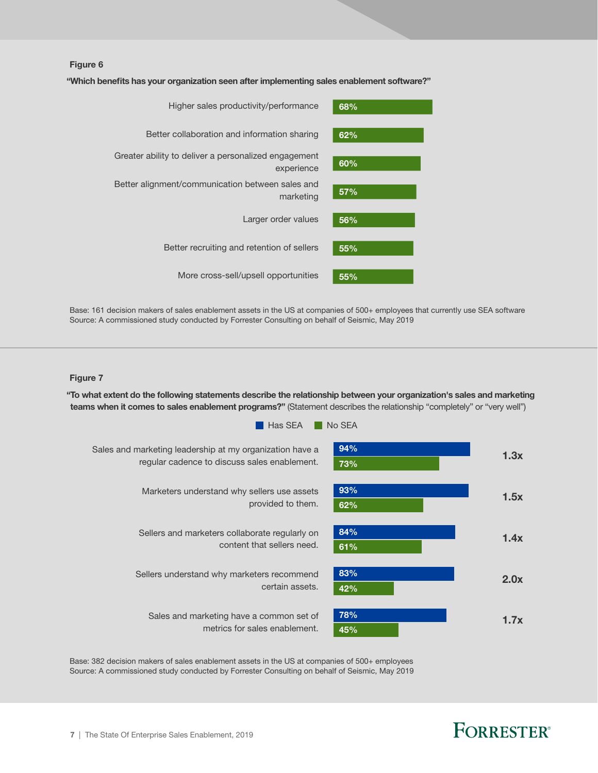#### Figure 6

"Which benefits has your organization seen after implementing sales enablement software?"



Base: 161 decision makers of sales enablement assets in the US at companies of 500+ employees that currently use SEA software Source: A commissioned study conducted by Forrester Consulting on behalf of Seismic, May 2019

#### Figure 7

"To what extent do the following statements describe the relationship between your organization's sales and marketing teams when it comes to sales enablement programs?" (Statement describes the relationship "completely" or "very well")



Base: 382 decision makers of sales enablement assets in the US at companies of 500+ employees Source: A commissioned study conducted by Forrester Consulting on behalf of Seismic, May 2019

### **FORRESTER®**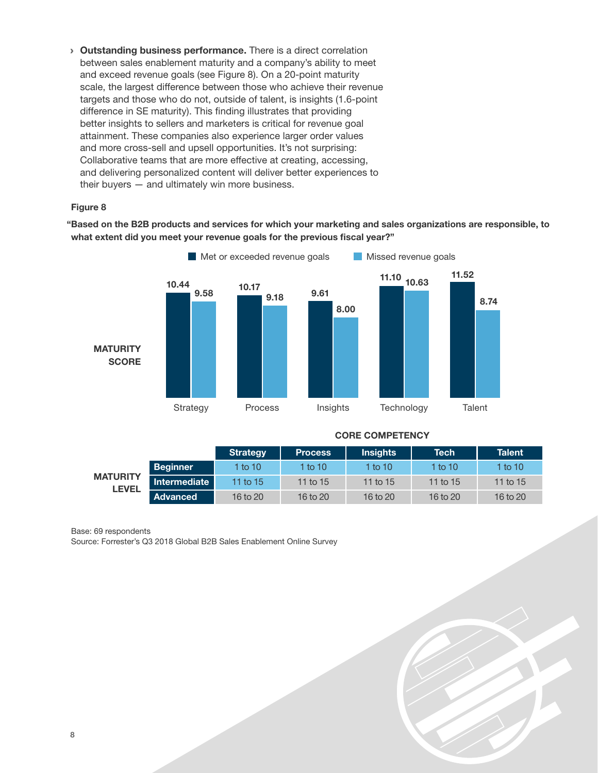**• Outstanding business performance.** There is a direct correlation between sales enablement maturity and a company's ability to meet and exceed revenue goals (see Figure 8). On a 20-point maturity scale, the largest difference between those who achieve their revenue targets and those who do not, outside of talent, is insights (1.6-point difference in SE maturity). This finding illustrates that providing better insights to sellers and marketers is critical for revenue goal attainment. These companies also experience larger order values and more cross-sell and upsell opportunities. It's not surprising: Collaborative teams that are more effective at creating, accessing, and delivering personalized content will deliver better experiences to their buyers  $-$  and ultimately win more business.

#### Figure 8

"Based on the B2B products and services for which your marketing and sales organizations are responsible, to what extent did you meet your revenue goals for the previous fiscal year?"



#### CORE COMPETENCY

|                                 |                 | Strategy | <b>Process</b> | <b>Insights</b> | <b>Tech</b> | <b>Talent</b> |
|---------------------------------|-----------------|----------|----------------|-----------------|-------------|---------------|
| <b>MATURITY</b><br><b>LEVEL</b> | <b>Beginner</b> | 1 to 10  | 1 to $10$      | 1 to 10         | 1 to 10     | 1 to $101$    |
|                                 | Intermediate    | 11 to 15 | 11 to 15       | 11 to 15        | 11 to 15    | 11 to $15$    |
|                                 | Advanced        | 16 to 20 | 16 to 20       | 16 to 20        | 16 to 20    | 16 to $20$    |

#### Base: 69 respondents

Source: Forrester's Q3 2018 Global B2B Sales Enablement Online Survey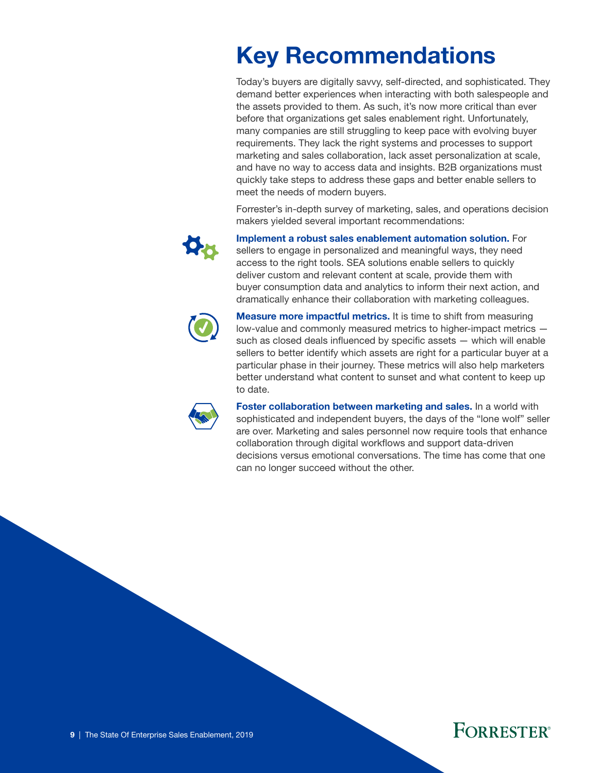### <span id="page-10-0"></span>Key Recommendations

Today's buyers are digitally savvy, self-directed, and sophisticated. They demand better experiences when interacting with both salespeople and the assets provided to them. As such, it's now more critical than ever before that organizations get sales enablement right. Unfortunately, many companies are still struggling to keep pace with evolving buyer requirements. They lack the right systems and processes to support marketing and sales collaboration, lack asset personalization at scale, and have no way to access data and insights. B2B organizations must quickly take steps to address these gaps and better enable sellers to meet the needs of modern buyers.

Forrester's in-depth survey of marketing, sales, and operations decision makers yielded several important recommendations:



Implement a robust sales enablement automation solution. For sellers to engage in personalized and meaningful ways, they need access to the right tools. SEA solutions enable sellers to quickly deliver custom and relevant content at scale, provide them with buyer consumption data and analytics to inform their next action, and dramatically enhance their collaboration with marketing colleagues.



**Measure more impactful metrics.** It is time to shift from measuring low-value and commonly measured metrics to higher-impact metrics such as closed deals influenced by specific assets — which will enable sellers to better identify which assets are right for a particular buyer at a particular phase in their journey. These metrics will also help marketers better understand what content to sunset and what content to keep up to date.



Foster collaboration between marketing and sales. In a world with sophisticated and independent buyers, the days of the "lone wolf" seller are over. Marketing and sales personnel now require tools that enhance collaboration through digital workflows and support data-driven decisions versus emotional conversations. The time has come that one can no longer succeed without the other.

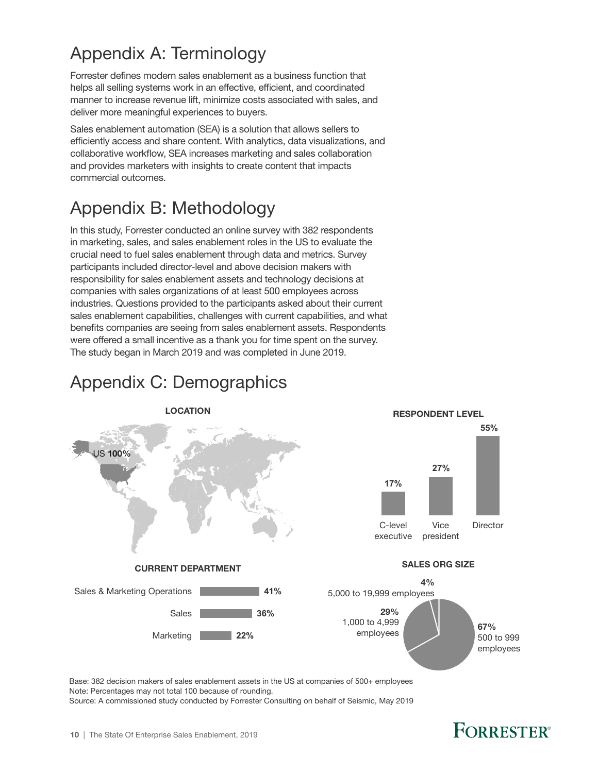### <span id="page-11-0"></span>Appendix A: Terminology

Forrester defines modern sales enablement as a business function that helps all selling systems work in an effective, efficient, and coordinated manner to increase revenue lift, minimize costs associated with sales, and deliver more meaningful experiences to buyers.

Sales enablement automation (SEA) is a solution that allows sellers to efficiently access and share content. With analytics, data visualizations, and collaborative workflow, SEA increases marketing and sales collaboration and provides marketers with insights to create content that impacts commercial outcomes.

### Appendix B: Methodology

In this study, Forrester conducted an online survey with 382 respondents in marketing, sales, and sales enablement roles in the US to evaluate the crucial need to fuel sales enablement through data and metrics. Survey participants included director-level and above decision makers with responsibility for sales enablement assets and technology decisions at companies with sales organizations of at least 500 employees across industries. Questions provided to the participants asked about their current sales enablement capabilities, challenges with current capabilities, and what benefits companies are seeing from sales enablement assets. Respondents were offered a small incentive as a thank you for time spent on the survey. The study began in March 2019 and was completed in June 2019.

# Appendix C: Demographics



Base: 382 decision makers of sales enablement assets in the US at companies of 500+ employees Note: Percentages may not total 100 because of rounding. Source: A commissioned study conducted by Forrester Consulting on behalf of Seismic, May 2019

### **FORRESTER**